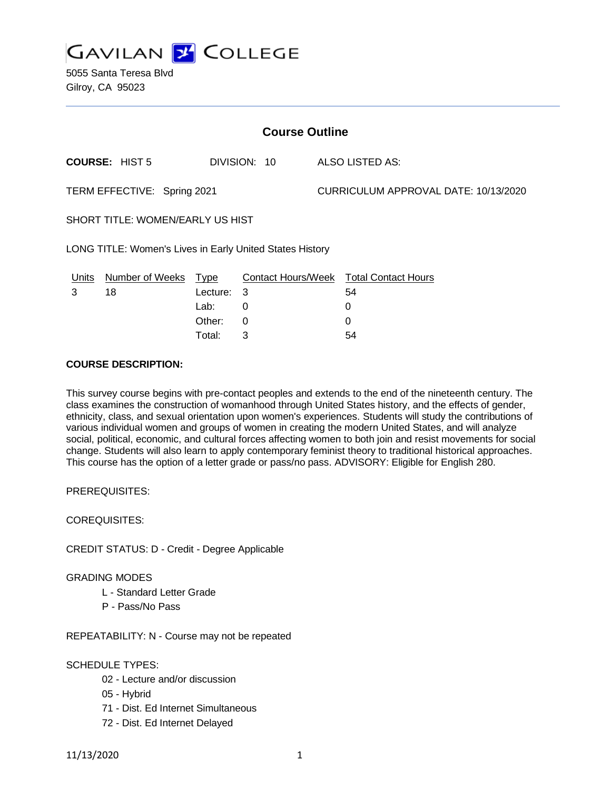

5055 Santa Teresa Blvd Gilroy, CA 95023

| <b>Course Outline</b>                                    |                       |             |              |                                      |                                        |
|----------------------------------------------------------|-----------------------|-------------|--------------|--------------------------------------|----------------------------------------|
|                                                          | <b>COURSE: HIST 5</b> |             | DIVISION: 10 |                                      | ALSO LISTED AS:                        |
| TERM EFFECTIVE: Spring 2021                              |                       |             |              | CURRICULUM APPROVAL DATE: 10/13/2020 |                                        |
| SHORT TITLE: WOMEN/EARLY US HIST                         |                       |             |              |                                      |                                        |
| LONG TITLE: Women's Lives in Early United States History |                       |             |              |                                      |                                        |
| Units                                                    | Number of Weeks       | <b>Type</b> |              |                                      | Contact Hours/Week Total Contact Hours |
| 3                                                        | 18                    | Lecture:    | - 3          |                                      | 54                                     |
|                                                          |                       | Lab:        | 0            |                                      | 0                                      |
|                                                          |                       | Other:      | 0            |                                      | 0                                      |
|                                                          |                       | Total:      | З            |                                      | 54                                     |

#### **COURSE DESCRIPTION:**

This survey course begins with pre-contact peoples and extends to the end of the nineteenth century. The class examines the construction of womanhood through United States history, and the effects of gender, ethnicity, class, and sexual orientation upon women's experiences. Students will study the contributions of various individual women and groups of women in creating the modern United States, and will analyze social, political, economic, and cultural forces affecting women to both join and resist movements for social change. Students will also learn to apply contemporary feminist theory to traditional historical approaches. This course has the option of a letter grade or pass/no pass. ADVISORY: Eligible for English 280.

PREREQUISITES:

COREQUISITES:

CREDIT STATUS: D - Credit - Degree Applicable

GRADING MODES

- L Standard Letter Grade
- P Pass/No Pass

REPEATABILITY: N - Course may not be repeated

### SCHEDULE TYPES:

- 02 Lecture and/or discussion
- 05 Hybrid
- 71 Dist. Ed Internet Simultaneous
- 72 Dist. Ed Internet Delayed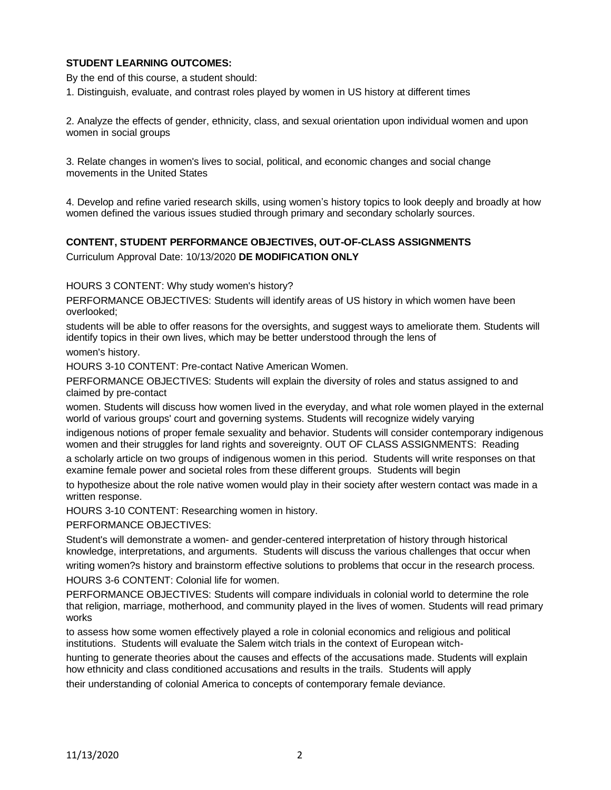### **STUDENT LEARNING OUTCOMES:**

By the end of this course, a student should:

1. Distinguish, evaluate, and contrast roles played by women in US history at different times

2. Analyze the effects of gender, ethnicity, class, and sexual orientation upon individual women and upon women in social groups

3. Relate changes in women's lives to social, political, and economic changes and social change movements in the United States

4. Develop and refine varied research skills, using women's history topics to look deeply and broadly at how women defined the various issues studied through primary and secondary scholarly sources.

## **CONTENT, STUDENT PERFORMANCE OBJECTIVES, OUT-OF-CLASS ASSIGNMENTS**

Curriculum Approval Date: 10/13/2020 **DE MODIFICATION ONLY**

HOURS 3 CONTENT: Why study women's history?

PERFORMANCE OBJECTIVES: Students will identify areas of US history in which women have been overlooked;

students will be able to offer reasons for the oversights, and suggest ways to ameliorate them. Students will identify topics in their own lives, which may be better understood through the lens of

women's history.

HOURS 3-10 CONTENT: Pre-contact Native American Women.

PERFORMANCE OBJECTIVES: Students will explain the diversity of roles and status assigned to and claimed by pre-contact

women. Students will discuss how women lived in the everyday, and what role women played in the external world of various groups' court and governing systems. Students will recognize widely varying

indigenous notions of proper female sexuality and behavior. Students will consider contemporary indigenous women and their struggles for land rights and sovereignty. OUT OF CLASS ASSIGNMENTS: Reading

a scholarly article on two groups of indigenous women in this period. Students will write responses on that examine female power and societal roles from these different groups. Students will begin

to hypothesize about the role native women would play in their society after western contact was made in a written response.

HOURS 3-10 CONTENT: Researching women in history.

PERFORMANCE OBJECTIVES:

Student's will demonstrate a women- and gender-centered interpretation of history through historical knowledge, interpretations, and arguments. Students will discuss the various challenges that occur when

writing women?s history and brainstorm effective solutions to problems that occur in the research process. HOURS 3-6 CONTENT: Colonial life for women.

PERFORMANCE OBJECTIVES: Students will compare individuals in colonial world to determine the role that religion, marriage, motherhood, and community played in the lives of women. Students will read primary works

to assess how some women effectively played a role in colonial economics and religious and political institutions. Students will evaluate the Salem witch trials in the context of European witch-

hunting to generate theories about the causes and effects of the accusations made. Students will explain how ethnicity and class conditioned accusations and results in the trails. Students will apply

their understanding of colonial America to concepts of contemporary female deviance.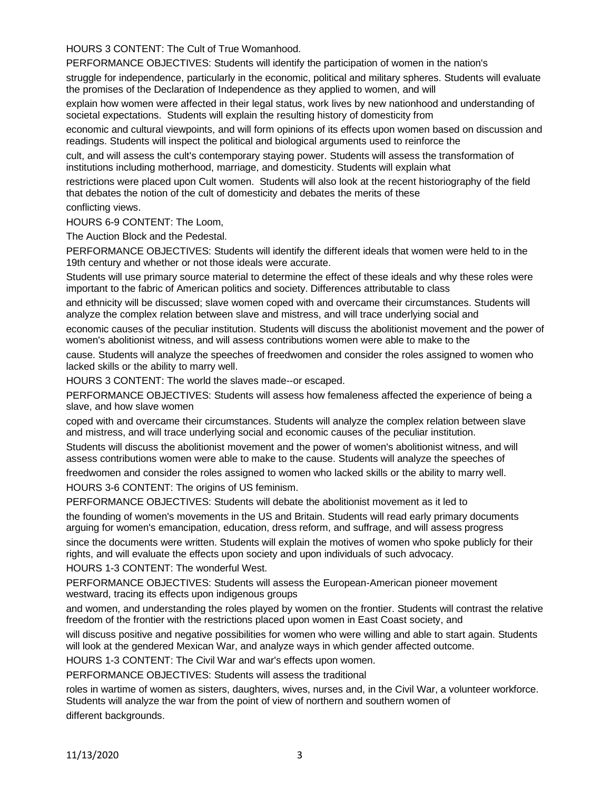HOURS 3 CONTENT: The Cult of True Womanhood.

PERFORMANCE OBJECTIVES: Students will identify the participation of women in the nation's

struggle for independence, particularly in the economic, political and military spheres. Students will evaluate the promises of the Declaration of Independence as they applied to women, and will

explain how women were affected in their legal status, work lives by new nationhood and understanding of societal expectations. Students will explain the resulting history of domesticity from

economic and cultural viewpoints, and will form opinions of its effects upon women based on discussion and readings. Students will inspect the political and biological arguments used to reinforce the

cult, and will assess the cult's contemporary staying power. Students will assess the transformation of institutions including motherhood, marriage, and domesticity. Students will explain what

restrictions were placed upon Cult women. Students will also look at the recent historiography of the field that debates the notion of the cult of domesticity and debates the merits of these

conflicting views.

HOURS 6-9 CONTENT: The Loom,

The Auction Block and the Pedestal.

PERFORMANCE OBJECTIVES: Students will identify the different ideals that women were held to in the 19th century and whether or not those ideals were accurate.

Students will use primary source material to determine the effect of these ideals and why these roles were important to the fabric of American politics and society. Differences attributable to class

and ethnicity will be discussed; slave women coped with and overcame their circumstances. Students will analyze the complex relation between slave and mistress, and will trace underlying social and

economic causes of the peculiar institution. Students will discuss the abolitionist movement and the power of women's abolitionist witness, and will assess contributions women were able to make to the

cause. Students will analyze the speeches of freedwomen and consider the roles assigned to women who lacked skills or the ability to marry well.

HOURS 3 CONTENT: The world the slaves made--or escaped.

PERFORMANCE OBJECTIVES: Students will assess how femaleness affected the experience of being a slave, and how slave women

coped with and overcame their circumstances. Students will analyze the complex relation between slave and mistress, and will trace underlying social and economic causes of the peculiar institution.

Students will discuss the abolitionist movement and the power of women's abolitionist witness, and will assess contributions women were able to make to the cause. Students will analyze the speeches of

freedwomen and consider the roles assigned to women who lacked skills or the ability to marry well.

HOURS 3-6 CONTENT: The origins of US feminism.

PERFORMANCE OBJECTIVES: Students will debate the abolitionist movement as it led to

the founding of women's movements in the US and Britain. Students will read early primary documents arguing for women's emancipation, education, dress reform, and suffrage, and will assess progress

since the documents were written. Students will explain the motives of women who spoke publicly for their rights, and will evaluate the effects upon society and upon individuals of such advocacy.

HOURS 1-3 CONTENT: The wonderful West.

PERFORMANCE OBJECTIVES: Students will assess the European-American pioneer movement westward, tracing its effects upon indigenous groups

and women, and understanding the roles played by women on the frontier. Students will contrast the relative freedom of the frontier with the restrictions placed upon women in East Coast society, and

will discuss positive and negative possibilities for women who were willing and able to start again. Students will look at the gendered Mexican War, and analyze ways in which gender affected outcome.

HOURS 1-3 CONTENT: The Civil War and war's effects upon women.

PERFORMANCE OBJECTIVES: Students will assess the traditional

roles in wartime of women as sisters, daughters, wives, nurses and, in the Civil War, a volunteer workforce. Students will analyze the war from the point of view of northern and southern women of different backgrounds.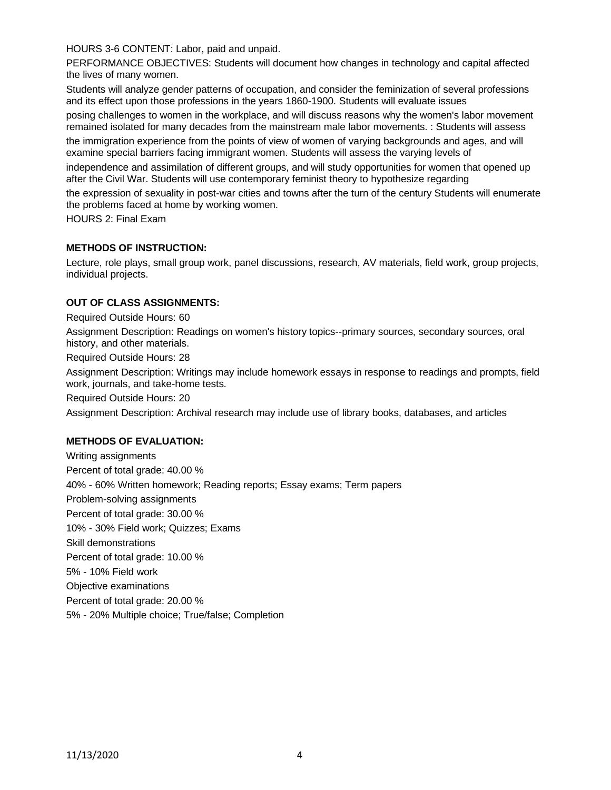HOURS 3-6 CONTENT: Labor, paid and unpaid.

PERFORMANCE OBJECTIVES: Students will document how changes in technology and capital affected the lives of many women.

Students will analyze gender patterns of occupation, and consider the feminization of several professions and its effect upon those professions in the years 1860-1900. Students will evaluate issues

posing challenges to women in the workplace, and will discuss reasons why the women's labor movement remained isolated for many decades from the mainstream male labor movements. : Students will assess the immigration experience from the points of view of women of varying backgrounds and ages, and will

examine special barriers facing immigrant women. Students will assess the varying levels of

independence and assimilation of different groups, and will study opportunities for women that opened up after the Civil War. Students will use contemporary feminist theory to hypothesize regarding

the expression of sexuality in post-war cities and towns after the turn of the century Students will enumerate the problems faced at home by working women.

HOURS 2: Final Exam

#### **METHODS OF INSTRUCTION:**

Lecture, role plays, small group work, panel discussions, research, AV materials, field work, group projects, individual projects.

#### **OUT OF CLASS ASSIGNMENTS:**

Required Outside Hours: 60

Assignment Description: Readings on women's history topics--primary sources, secondary sources, oral history, and other materials.

Required Outside Hours: 28

Assignment Description: Writings may include homework essays in response to readings and prompts, field work, journals, and take-home tests.

Required Outside Hours: 20

Assignment Description: Archival research may include use of library books, databases, and articles

#### **METHODS OF EVALUATION:**

Writing assignments Percent of total grade: 40.00 % 40% - 60% Written homework; Reading reports; Essay exams; Term papers Problem-solving assignments Percent of total grade: 30.00 % 10% - 30% Field work; Quizzes; Exams Skill demonstrations Percent of total grade: 10.00 % 5% - 10% Field work Objective examinations Percent of total grade: 20.00 % 5% - 20% Multiple choice; True/false; Completion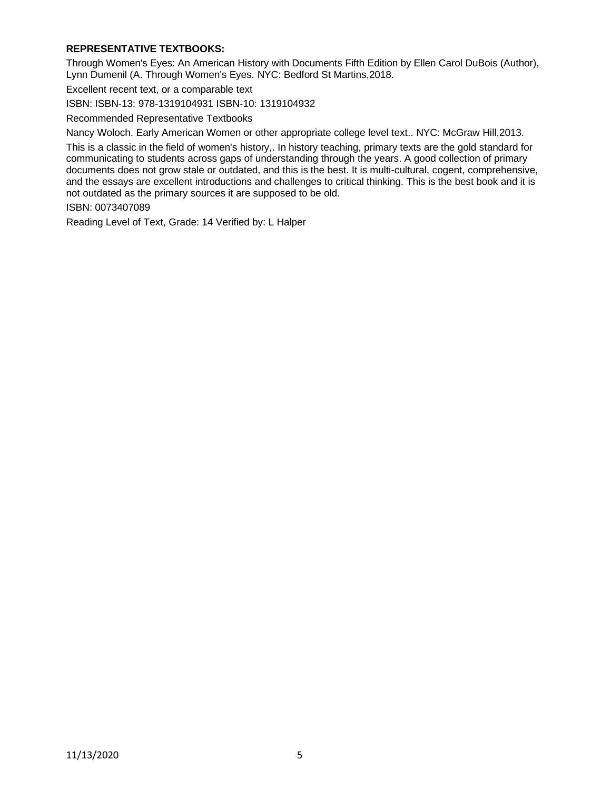### **REPRESENTATIVE TEXTBOOKS:**

Through Women's Eyes: An American History with Documents Fifth Edition by Ellen Carol DuBois (Author), Lynn Dumenil (A. Through Women's Eyes. NYC: Bedford St Martins,2018.

Excellent recent text, or a comparable text

ISBN: ISBN-13: 978-1319104931 ISBN-10: 1319104932

Recommended Representative Textbooks

Nancy Woloch. Early American Women or other appropriate college level text.. NYC: McGraw Hill,2013.

This is a classic in the field of women's history,. In history teaching, primary texts are the gold standard for communicating to students across gaps of understanding through the years. A good collection of primary documents does not grow stale or outdated, and this is the best. It is multi-cultural, cogent, comprehensive, and the essays are excellent introductions and challenges to critical thinking. This is the best book and it is not outdated as the primary sources it are supposed to be old.

ISBN: 0073407089

Reading Level of Text, Grade: 14 Verified by: L Halper